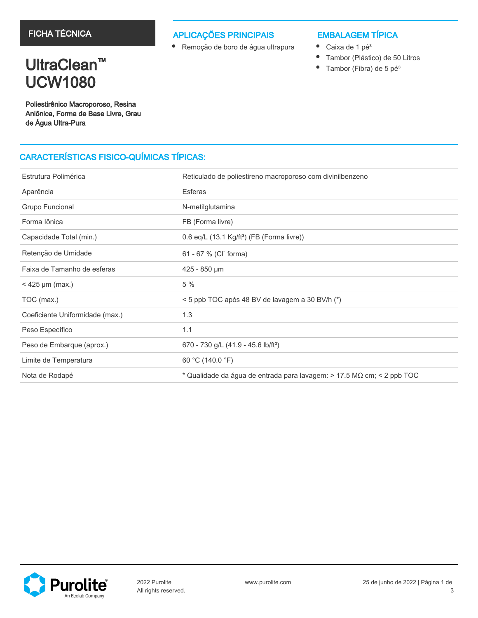### APLICAÇÕES PRINCIPAIS

Remoção de boro de água ultrapura

## EMBALAGEM TÍPICA

- $\bullet$ Caixa de 1 pé<sup>3</sup>
- $\bullet$ Tambor (Plástico) de 50 Litros
- $\bullet$ Tambor (Fibra) de 5 pé<sup>3</sup>

## UltraClean<sup>™</sup> UCW1080

Poliestirênico Macroporoso, Resina Aniônica, Forma de Base Livre, Grau de Água Ultra-Pura

## CARACTERÍSTICAS FISICO-QUÍMICAS TÍPICAS:

| Estrutura Polimérica            | Reticulado de poliestireno macroporoso com divinilbenzeno              |
|---------------------------------|------------------------------------------------------------------------|
| Aparência                       | <b>Esferas</b>                                                         |
| Grupo Funcional                 | N-metilglutamina                                                       |
| Forma lônica                    | FB (Forma livre)                                                       |
| Capacidade Total (min.)         | 0.6 eq/L (13.1 Kg/ft <sup>3</sup> ) (FB (Forma livre))                 |
| Retenção de Umidade             | 61 - 67 % (CI <sup>-</sup> forma)                                      |
| Faixa de Tamanho de esferas     | 425 - 850 µm                                                           |
| $<$ 425 µm (max.)               | 5 %                                                                    |
| TOC (max.)                      | < 5 ppb TOC após 48 BV de lavagem a 30 BV/h (*)                        |
| Coeficiente Uniformidade (max.) | 1.3                                                                    |
| Peso Específico                 | 1.1                                                                    |
| Peso de Embarque (aprox.)       | 670 - 730 g/L (41.9 - 45.6 lb/ft <sup>3</sup> )                        |
| Limite de Temperatura           | 60 °C (140.0 °F)                                                       |
| Nota de Rodapé                  | * Qualidade da água de entrada para lavagem: > 17.5 MΩ cm; < 2 ppb TOC |

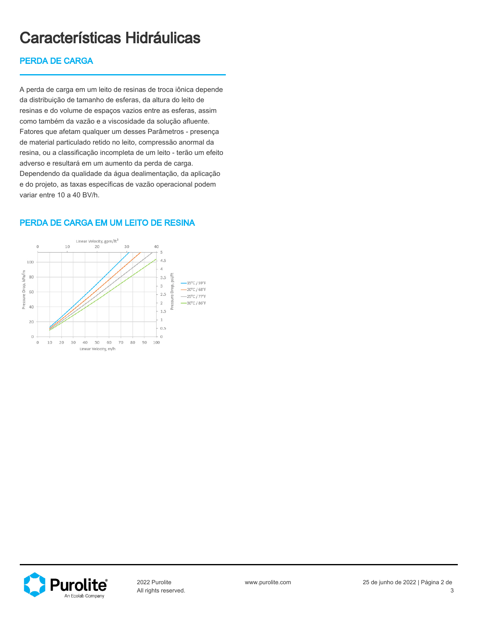# Características Hidráulicas

## PERDA DE CARGA

A perda de carga em um leito de resinas de troca iônica depende da distribuição de tamanho de esferas, da altura do leito de resinas e do volume de espaços vazios entre as esferas, assim como também da vazão e a viscosidade da solução afluente. Fatores que afetam qualquer um desses Parâmetros - presença de material particulado retido no leito, compressão anormal da resina, ou a classificação incompleta de um leito - terão um efeito adverso e resultará em um aumento da perda de carga. Dependendo da qualidade da água dealimentação, da aplicação e do projeto, as taxas específicas de vazão operacional podem variar entre 10 a 40 BV/h.



### PERDA DE CARGA EM UM LEITO DE RESINA